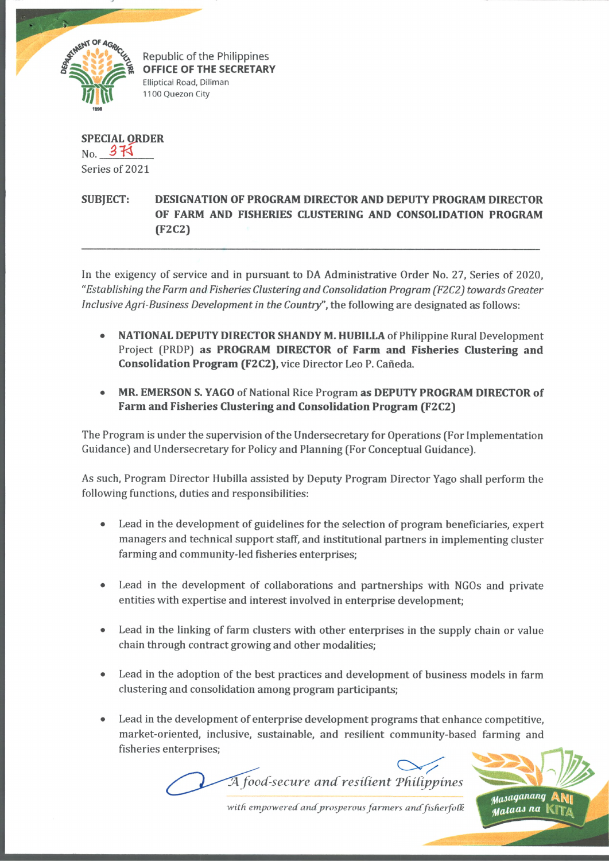

Republic of the Philippines **OFFICE OF THE SECRETARY** Elliptical Road, Diliman 1100 Quezon City

**SPECIAL QRDER**  $N_Q$  3 $\overline{14}$ Series of 2021

## **SUBJECT: DESIGNATION OF PROGRAM DIRECTOR AND DEPUTY PROGRAM DIRECTOR OF FARM AND FISHERIES CLUSTERING AND CONSOLIDATION PROGRAM (F2C2)**

In the exigency of service and in pursuant to DA Administrative Order No. 27, Series of 2020, *"Establishing the Farm and Fisheries Clustering and Consolidation Program (F2C2) towards Greater Inclusive Agri-Business Development in the Country",* the following are designated as follows:

- **NATIONAL DEPUTY DIRECTOR SHANDY M. HUBILLA** of Philippine Rural Development Project (PRDP) **as PROGRAM DIRECTOR of Farm and Fisheries Clustering and Consolidation Program (F2C2),** vice Director Leo P. Caneda.
- **MR. EMERSON S. YAGO** of National Rice Program **as DEPUTY PROGRAM DIRECTOR of Farm and Fisheries Clustering and Consolidation Program (F2C2)**

The Program is under the supervision of the Undersecretary for Operations (For Implementation Guidance) and Undersecretary for Policy and Planning (For Conceptual Guidance).

As such, Program Director Hubilla assisted by Deputy Program Director Yago shall perform the following functions, duties and responsibilities:

- Lead in the development of guidelines for the selection of program beneficiaries, expert managers and technical support staff, and institutional partners in implementing cluster farming and community-led fisheries enterprises;
- Lead in the development of collaborations and partnerships with NGOs and private entities with expertise and interest involved in enterprise development;
- Lead in the linking of farm clusters with other enterprises in the supply chain or value chain through contract growing and other modalities;
- Lead in the adoption of the best practices and development of business models in farm clustering and consolidation among program participants;
- Lead in the development of enterprise development programs that enhance competitive, market-oriented, inclusive, sustainable, and resilient community-based farming and fisheries enterprises;

*A food-secure and resilient Philippines* 



with empowered and prosperous farmers and fisherfolk